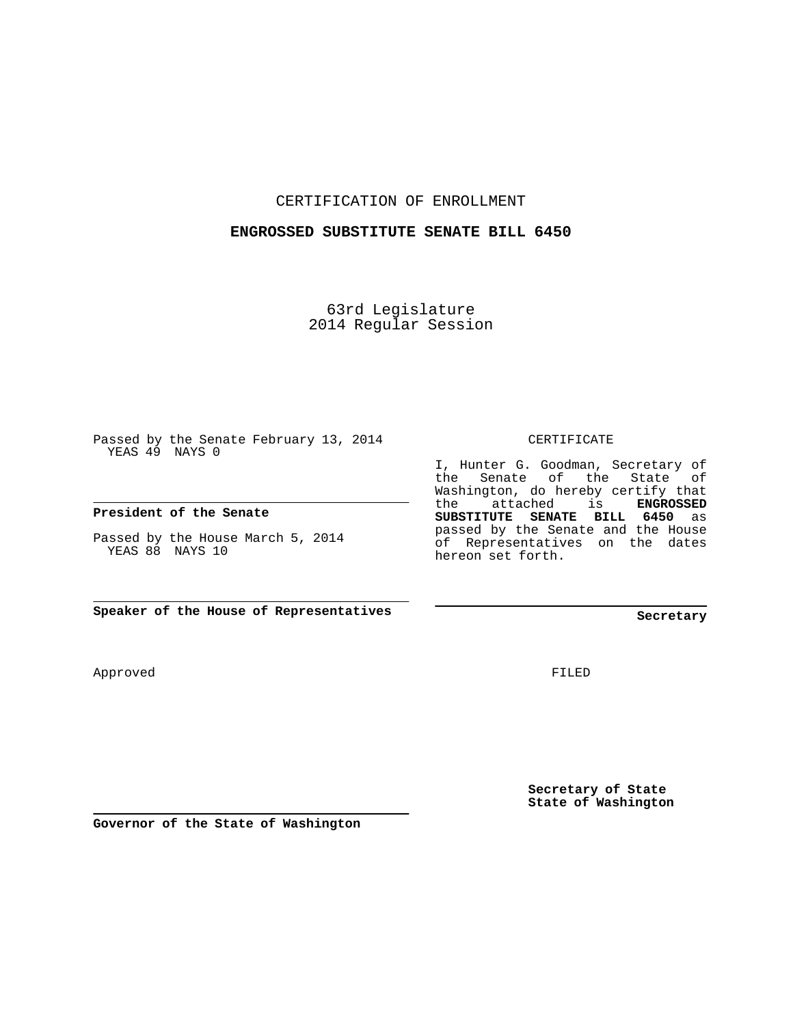CERTIFICATION OF ENROLLMENT

## **ENGROSSED SUBSTITUTE SENATE BILL 6450**

63rd Legislature 2014 Regular Session

Passed by the Senate February 13, 2014 YEAS 49 NAYS 0

### **President of the Senate**

Passed by the House March 5, 2014 YEAS 88 NAYS 10

**Speaker of the House of Representatives**

Approved

FILED

**Secretary of State State of Washington**

**Governor of the State of Washington**

CERTIFICATE

I, Hunter G. Goodman, Secretary of the Senate of the State of Washington, do hereby certify that the attached is **ENGROSSED SUBSTITUTE SENATE BILL 6450** as passed by the Senate and the House of Representatives on the dates hereon set forth.

**Secretary**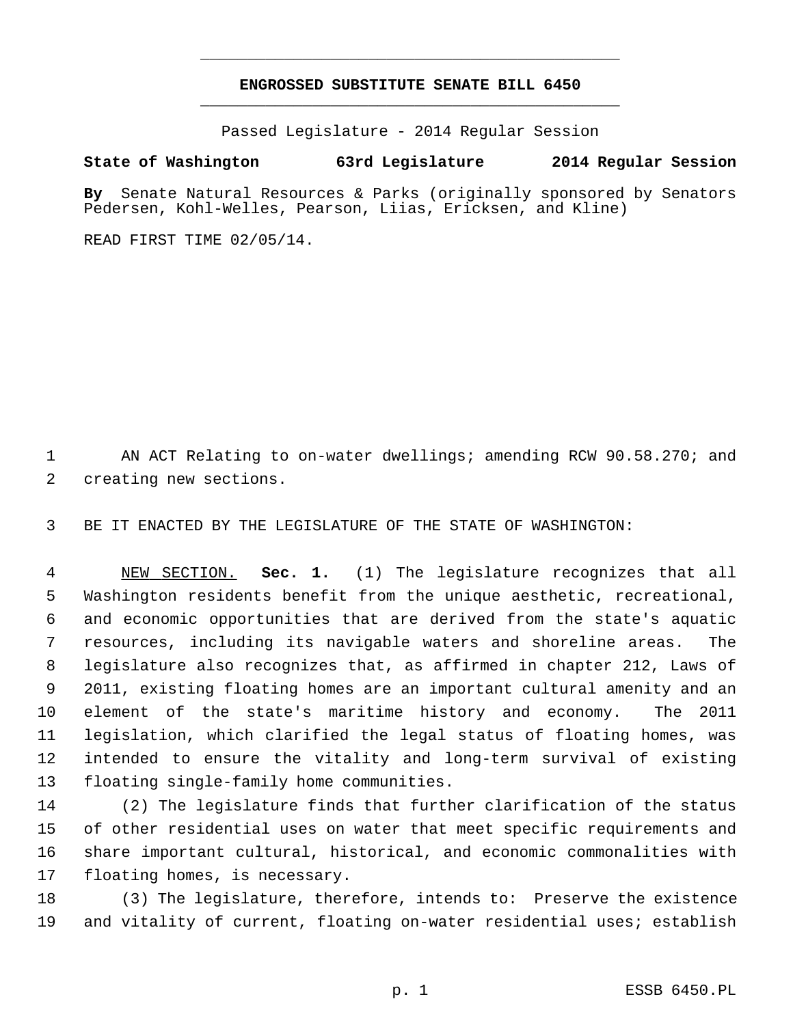# **ENGROSSED SUBSTITUTE SENATE BILL 6450** \_\_\_\_\_\_\_\_\_\_\_\_\_\_\_\_\_\_\_\_\_\_\_\_\_\_\_\_\_\_\_\_\_\_\_\_\_\_\_\_\_\_\_\_\_

\_\_\_\_\_\_\_\_\_\_\_\_\_\_\_\_\_\_\_\_\_\_\_\_\_\_\_\_\_\_\_\_\_\_\_\_\_\_\_\_\_\_\_\_\_

Passed Legislature - 2014 Regular Session

# **State of Washington 63rd Legislature 2014 Regular Session**

**By** Senate Natural Resources & Parks (originally sponsored by Senators Pedersen, Kohl-Welles, Pearson, Liias, Ericksen, and Kline)

READ FIRST TIME 02/05/14.

1 AN ACT Relating to on-water dwellings; amending RCW 90.58.270; and 2 creating new sections.

3 BE IT ENACTED BY THE LEGISLATURE OF THE STATE OF WASHINGTON:

 4 NEW SECTION. **Sec. 1.** (1) The legislature recognizes that all 5 Washington residents benefit from the unique aesthetic, recreational, 6 and economic opportunities that are derived from the state's aquatic 7 resources, including its navigable waters and shoreline areas. The 8 legislature also recognizes that, as affirmed in chapter 212, Laws of 9 2011, existing floating homes are an important cultural amenity and an 10 element of the state's maritime history and economy. The 2011 11 legislation, which clarified the legal status of floating homes, was 12 intended to ensure the vitality and long-term survival of existing 13 floating single-family home communities.

14 (2) The legislature finds that further clarification of the status 15 of other residential uses on water that meet specific requirements and 16 share important cultural, historical, and economic commonalities with 17 floating homes, is necessary.

18 (3) The legislature, therefore, intends to: Preserve the existence 19 and vitality of current, floating on-water residential uses; establish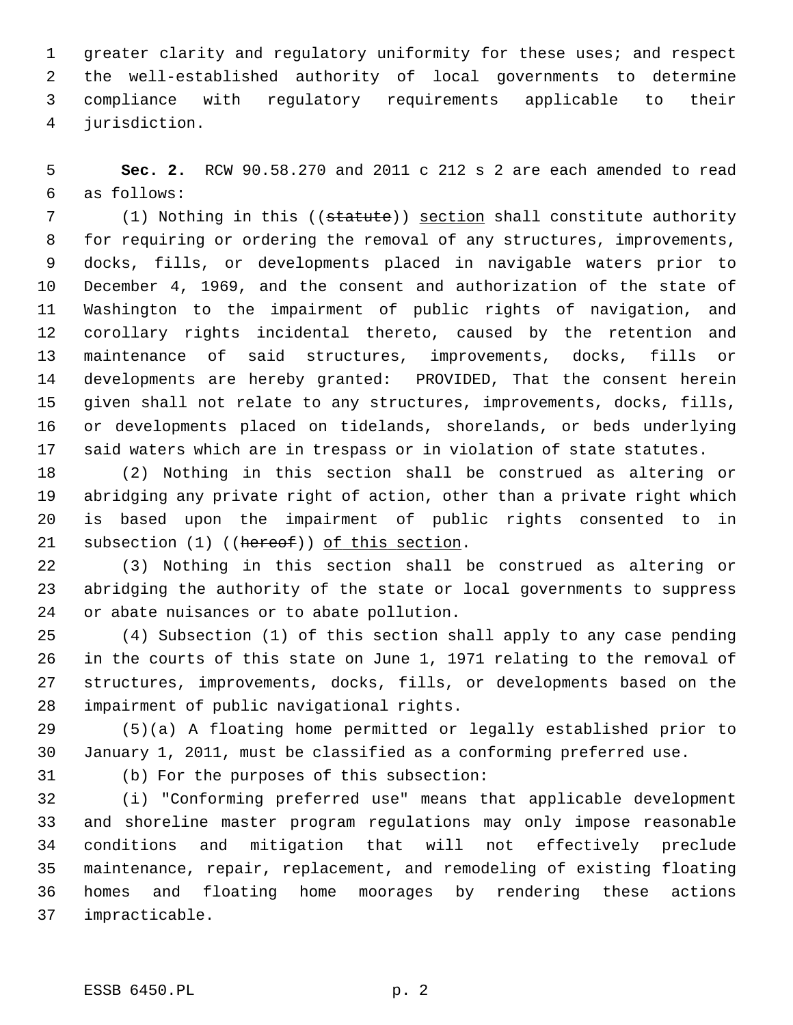1 greater clarity and regulatory uniformity for these uses; and respect 2 the well-established authority of local governments to determine 3 compliance with regulatory requirements applicable to their 4 jurisdiction.

 5 **Sec. 2.** RCW 90.58.270 and 2011 c 212 s 2 are each amended to read 6 as follows:

7 (1) Nothing in this ((statute)) section shall constitute authority 8 for requiring or ordering the removal of any structures, improvements, 9 docks, fills, or developments placed in navigable waters prior to 10 December 4, 1969, and the consent and authorization of the state of 11 Washington to the impairment of public rights of navigation, and 12 corollary rights incidental thereto, caused by the retention and 13 maintenance of said structures, improvements, docks, fills or 14 developments are hereby granted: PROVIDED, That the consent herein 15 given shall not relate to any structures, improvements, docks, fills, 16 or developments placed on tidelands, shorelands, or beds underlying 17 said waters which are in trespass or in violation of state statutes.

18 (2) Nothing in this section shall be construed as altering or 19 abridging any private right of action, other than a private right which 20 is based upon the impairment of public rights consented to in 21 subsection (1) ((hereof)) of this section.

22 (3) Nothing in this section shall be construed as altering or 23 abridging the authority of the state or local governments to suppress 24 or abate nuisances or to abate pollution.

25 (4) Subsection (1) of this section shall apply to any case pending 26 in the courts of this state on June 1, 1971 relating to the removal of 27 structures, improvements, docks, fills, or developments based on the 28 impairment of public navigational rights.

29 (5)(a) A floating home permitted or legally established prior to 30 January 1, 2011, must be classified as a conforming preferred use.

31 (b) For the purposes of this subsection:

32 (i) "Conforming preferred use" means that applicable development 33 and shoreline master program regulations may only impose reasonable 34 conditions and mitigation that will not effectively preclude 35 maintenance, repair, replacement, and remodeling of existing floating 36 homes and floating home moorages by rendering these actions 37 impracticable.